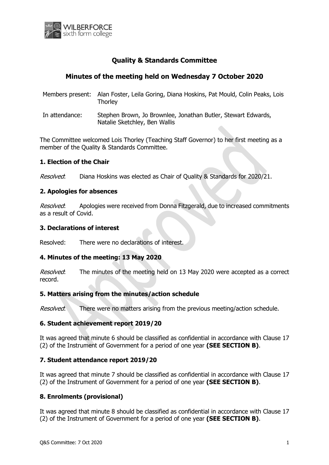

# **Quality & Standards Committee**

## **Minutes of the meeting held on Wednesday 7 October 2020**

- Members present: Alan Foster, Leila Goring, Diana Hoskins, Pat Mould, Colin Peaks, Lois **Thorley**
- In attendance: Stephen Brown, Jo Brownlee, Jonathan Butler, Stewart Edwards, Natalie Sketchley, Ben Wallis

The Committee welcomed Lois Thorley (Teaching Staff Governor) to her first meeting as a member of the Quality & Standards Committee.

## **1. Election of the Chair**

Resolved: Diana Hoskins was elected as Chair of Quality & Standards for 2020/21.

#### **2. Apologies for absences**

Resolved: Apologies were received from Donna Fitzgerald, due to increased commitments as a result of Covid.

## **3. Declarations of interest**

Resolved: There were no declarations of interest.

## **4. Minutes of the meeting: 13 May 2020**

Resolved: The minutes of the meeting held on 13 May 2020 were accepted as a correct record.

## **5. Matters arising from the minutes/action schedule**

*Resolved*: There were no matters arising from the previous meeting/action schedule.

## **6. Student achievement report 2019/20**

It was agreed that minute 6 should be classified as confidential in accordance with Clause 17 (2) of the Instrument of Government for a period of one year **(SEE SECTION B)**.

## **7. Student attendance report 2019/20**

It was agreed that minute 7 should be classified as confidential in accordance with Clause 17 (2) of the Instrument of Government for a period of one year **(SEE SECTION B)**.

## **8. Enrolments (provisional)**

It was agreed that minute 8 should be classified as confidential in accordance with Clause 17 (2) of the Instrument of Government for a period of one year **(SEE SECTION B)**.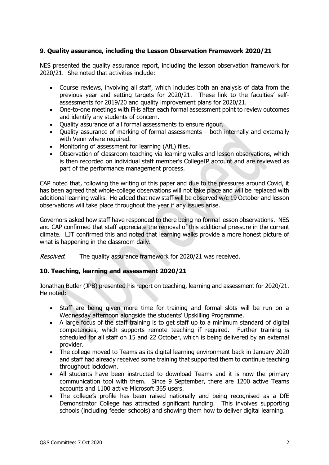## **9. Quality assurance, including the Lesson Observation Framework 2020/21**

NES presented the quality assurance report, including the lesson observation framework for 2020/21. She noted that activities include:

- Course reviews, involving all staff, which includes both an analysis of data from the previous year and setting targets for 2020/21. These link to the faculties' selfassessments for 2019/20 and quality improvement plans for 2020/21.
- One-to-one meetings with FHs after each formal assessment point to review outcomes and identify any students of concern.
- Quality assurance of all formal assessments to ensure rigour.
- Ouality assurance of marking of formal assessments both internally and externally with Venn where required.
- Monitoring of assessment for learning (AfL) files.
- Observation of classroom teaching via learning walks and lesson observations, which is then recorded on individual staff member's CollegeIP account and are reviewed as part of the performance management process.

CAP noted that, following the writing of this paper and due to the pressures around Covid, it has been agreed that whole-college observations will not take place and will be replaced with additional learning walks. He added that new staff will be observed w/c 19 October and lesson observations will take place throughout the year if any issues arise.

Governors asked how staff have responded to there being no formal lesson observations. NES and CAP confirmed that staff appreciate the removal of this additional pressure in the current climate. LJT confirmed this and noted that learning walks provide a more honest picture of what is happening in the classroom daily.

Resolved: The quality assurance framework for 2020/21 was received.

## **10. Teaching, learning and assessment 2020/21**

Jonathan Butler (JPB) presented his report on teaching, learning and assessment for 2020/21. He noted:

- Staff are being given more time for training and formal slots will be run on a Wednesday afternoon alongside the students' Upskilling Programme.
- A large focus of the staff training is to get staff up to a minimum standard of digital competencies, which supports remote teaching if required. Further training is scheduled for all staff on 15 and 22 October, which is being delivered by an external provider.
- The college moved to Teams as its digital learning environment back in January 2020 and staff had already received some training that supported them to continue teaching throughout lockdown.
- All students have been instructed to download Teams and it is now the primary communication tool with them. Since 9 September, there are 1200 active Teams accounts and 1100 active Microsoft 365 users.
- The college's profile has been raised nationally and being recognised as a DfE Demonstrator College has attracted significant funding. This involves supporting schools (including feeder schools) and showing them how to deliver digital learning.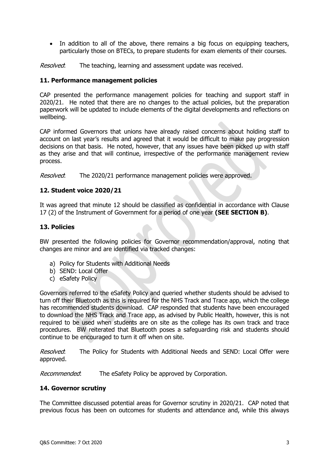• In addition to all of the above, there remains a big focus on equipping teachers, particularly those on BTECs, to prepare students for exam elements of their courses.

Resolved: The teaching, learning and assessment update was received.

#### **11. Performance management policies**

CAP presented the performance management policies for teaching and support staff in 2020/21. He noted that there are no changes to the actual policies, but the preparation paperwork will be updated to include elements of the digital developments and reflections on wellbeing.

CAP informed Governors that unions have already raised concerns about holding staff to account on last year's results and agreed that it would be difficult to make pay progression decisions on that basis. He noted, however, that any issues have been picked up with staff as they arise and that will continue, irrespective of the performance management review process.

Resolved: The 2020/21 performance management policies were approved.

#### **12. Student voice 2020/21**

It was agreed that minute 12 should be classified as confidential in accordance with Clause 17 (2) of the Instrument of Government for a period of one year **(SEE SECTION B)**.

#### **13. Policies**

BW presented the following policies for Governor recommendation/approval, noting that changes are minor and are identified via tracked changes:

- a) Policy for Students with Additional Needs
- b) SEND: Local Offer
- c) eSafety Policy

Governors referred to the eSafety Policy and queried whether students should be advised to turn off their Bluetooth as this is required for the NHS Track and Trace app, which the college has recommended students download. CAP responded that students have been encouraged to download the NHS Track and Trace app, as advised by Public Health, however, this is not required to be used when students are on site as the college has its own track and trace procedures. BW reiterated that Bluetooth poses a safeguarding risk and students should continue to be encouraged to turn it off when on site.

Resolved: The Policy for Students with Additional Needs and SEND: Local Offer were approved.

Recommended: The eSafety Policy be approved by Corporation.

#### **14. Governor scrutiny**

The Committee discussed potential areas for Governor scrutiny in 2020/21. CAP noted that previous focus has been on outcomes for students and attendance and, while this always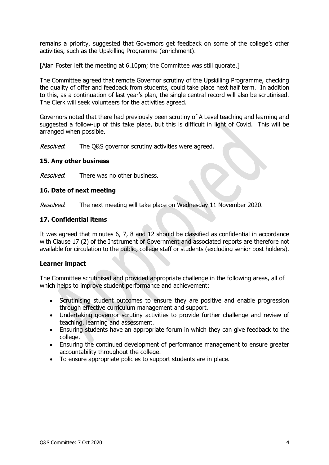remains a priority, suggested that Governors get feedback on some of the college's other activities, such as the Upskilling Programme (enrichment).

[Alan Foster left the meeting at 6.10pm; the Committee was still quorate.]

The Committee agreed that remote Governor scrutiny of the Upskilling Programme, checking the quality of offer and feedback from students, could take place next half term. In addition to this, as a continuation of last year's plan, the single central record will also be scrutinised. The Clerk will seek volunteers for the activities agreed.

Governors noted that there had previously been scrutiny of A Level teaching and learning and suggested a follow-up of this take place, but this is difficult in light of Covid. This will be arranged when possible.

Resolved: The Q&S governor scrutiny activities were agreed.

## **15. Any other business**

*Resolved*: There was no other business.

#### **16. Date of next meeting**

Resolved: The next meeting will take place on Wednesday 11 November 2020.

## **17. Confidential items**

It was agreed that minutes 6, 7, 8 and 12 should be classified as confidential in accordance with Clause 17 (2) of the Instrument of Government and associated reports are therefore not available for circulation to the public, college staff or students (excluding senior post holders).

#### **Learner impact**

The Committee scrutinised and provided appropriate challenge in the following areas, all of which helps to improve student performance and achievement:

- Scrutinising student outcomes to ensure they are positive and enable progression through effective curriculum management and support.
- Undertaking governor scrutiny activities to provide further challenge and review of teaching, learning and assessment.
- Ensuring students have an appropriate forum in which they can give feedback to the college.
- Ensuring the continued development of performance management to ensure greater accountability throughout the college.
- To ensure appropriate policies to support students are in place.